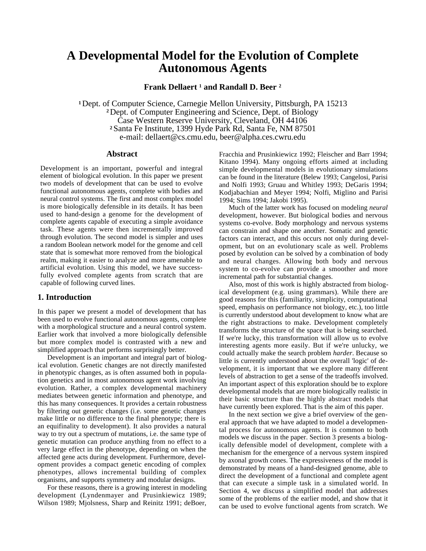# **A Developmental Model for the Evolution of Complete Autonomous Agents**

**Frank Dellaert 1 and Randall D. Beer 2**

**<sup>1</sup>**Dept. of Computer Science, Carnegie Mellon University, Pittsburgh, PA 15213 **<sup>2</sup>**Dept. of Computer Engineering and Science, Dept. of Biology Case Western Reserve University, Cleveland, OH 44106 **<sup>2</sup>**Santa Fe Institute, 1399 Hyde Park Rd, Santa Fe, NM 87501 e-mail: dellaert@cs.cmu.edu, beer@alpha.ces.cwru.edu

#### **Abstract**

Development is an important, powerful and integral element of biological evolution. In this paper we present two models of development that can be used to evolve functional autonomous agents, complete with bodies and neural control systems. The first and most complex model is more biologically defensible in its details. It has been used to hand-design a genome for the development of complete agents capable of executing a simple avoidance task. These agents were then incrementally improved through evolution. The second model is simpler and uses a random Boolean network model for the genome and cell state that is somewhat more removed from the biological realm, making it easier to analyze and more amenable to artificial evolution. Using this model, we have successfully evolved complete agents from scratch that are capable of following curved lines.

# **1. Introduction**

In this paper we present a model of development that has been used to evolve functional autonomous agents, complete with a morphological structure and a neural control system. Earlier work that involved a more biologically defensible but more complex model is contrasted with a new and simplified approach that performs surprisingly better.

Development is an important and integral part of biological evolution. Genetic changes are not directly manifested in phenotypic changes, as is often assumed both in population genetics and in most autonomous agent work involving evolution. Rather, a complex developmental machinery mediates between genetic information and phenotype, and this has many consequences. It provides a certain robustness by filtering out genetic changes (i.e. some genetic changes make little or no difference to the final phenotype; there is an equifinality to development). It also provides a natural way to try out a spectrum of mutations, i.e. the same type of genetic mutation can produce anything from no effect to a very large effect in the phenotype, depending on when the affected gene acts during development. Furthermore, development provides a compact genetic encoding of complex phenotypes, allows incremental building of complex organisms, and supports symmetry and modular designs.

For these reasons, there is a growing interest in modeling development (Lyndenmayer and Prusinkiewicz 1989; Wilson 1989; Mjolsness, Sharp and Reinitz 1991; deBoer, Fracchia and Prusinkiewicz 1992; Fleischer and Barr 1994; Kitano 1994). Many ongoing efforts aimed at including simple developmental models in evolutionary simulations can be found in the literature (Belew 1993; Cangelosi, Parisi and Nolfi 1993; Gruau and Whitley 1993; DeGaris 1994; Kodjabachian and Meyer 1994; Nolfi, Miglino and Parisi 1994; Sims 1994; Jakobi 1995).

Much of the latter work has focused on modeling *neural* development, however. But biological bodies and nervous systems co-evolve. Body morphology and nervous systems can constrain and shape one another. Somatic and genetic factors can interact, and this occurs not only during development, but on an evolutionary scale as well. Problems posed by evolution can be solved by a combination of body and neural changes. Allowing both body and nervous system to co-evolve can provide a smoother and more incremental path for substantial changes.

Also, most of this work is highly abstracted from biological development (e.g. using grammars). While there are good reasons for this (familiarity, simplicity, computational speed, emphasis on performance not biology, etc.), too little is currently understood about development to know what are the right abstractions to make. Development completely transforms the structure of the space that is being searched. If we're lucky, this transformation will allow us to evolve interesting agents more easily. But if we're unlucky, we could actually make the search problem *harder*. Because so little is currently understood about the overall 'logic' of development, it is important that we explore many different levels of abstraction to get a sense of the tradeoffs involved. An important aspect of this exploration should be to explore developmental models that are more biologically realistic in their basic structure than the highly abstract models that have currently been explored. That is the aim of this paper.

In the next section we give a brief overview of the general approach that we have adapted to model a developmental process for autonomous agents. It is common to both models we discuss in the paper. Section 3 presents a biologically defensible model of development, complete with a mechanism for the emergence of a nervous system inspired by axonal growth cones. The expressiveness of the model is demonstrated by means of a hand-designed genome, able to direct the development of a functional and complete agent that can execute a simple task in a simulated world. In Section 4, we discuss a simplified model that addresses some of the problems of the earlier model, and show that it can be used to evolve functional agents from scratch. We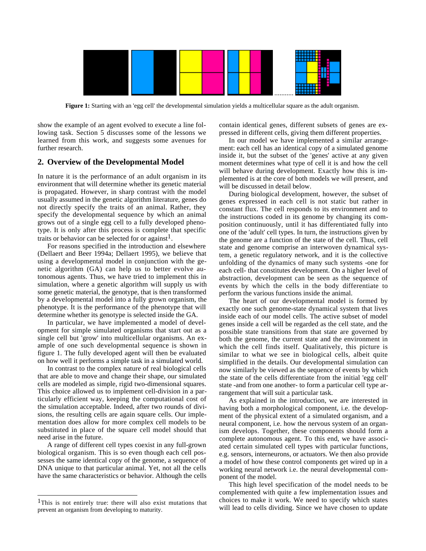

**Figure 1:** Starting with an 'egg cell' the developmental simulation yields a multicellular square as the adult organism.

show the example of an agent evolved to execute a line following task. Section 5 discusses some of the lessons we learned from this work, and suggests some avenues for further research.

## **2. Overview of the Developmental Model**

In nature it is the performance of an adult organism in its environment that will determine whether its genetic material is propagated. However, in sharp contrast with the model usually assumed in the genetic algorithm literature, genes do not directly specify the traits of an animal. Rather, they specify the developmental sequence by which an animal grows out of a single egg cell to a fully developed phenotype. It is only after this process is complete that specific traits or behavior can be selected for or against<sup>1</sup>.

For reasons specified in the introduction and elsewhere (Dellaert and Beer 1994a; Dellaert 1995), we believe that using a developmental model in conjunction with the genetic algorithm (GA) can help us to better evolve autonomous agents. Thus, we have tried to implement this in simulation, where a genetic algorithm will supply us with some genetic material, the genotype, that is then transformed by a developmental model into a fully grown organism, the phenotype. It is the performance of the phenotype that will determine whether its genotype is selected inside the GA.

In particular, we have implemented a model of development for simple simulated organisms that start out as a single cell but 'grow' into multicellular organisms. An example of one such developmental sequence is shown in figure 1. The fully developed agent will then be evaluated on how well it performs a simple task in a simulated world.

In contrast to the complex nature of real biological cells that are able to move and change their shape, our simulated cells are modeled as simple, rigid two-dimensional squares. This choice allowed us to implement cell-division in a particularly efficient way, keeping the computational cost of the simulation acceptable. Indeed, after two rounds of divisions, the resulting cells are again square cells. Our implementation does allow for more complex cell models to be substituted in place of the square cell model should that need arise in the future.

A range of different cell types coexist in any full-grown biological organism. This is so even though each cell possesses the same identical copy of the genome, a sequence of DNA unique to that particular animal. Yet, not all the cells have the same characteristics or behavior. Although the cells contain identical genes, different subsets of genes are expressed in different cells, giving them different properties.

In our model we have implemented a similar arrangement: each cell has an identical copy of a simulated genome inside it, but the subset of the 'genes' active at any given moment determines what type of cell it is and how the cell will behave during development. Exactly how this is implemented is at the core of both models we will present, and will be discussed in detail below.

During biological development, however, the subset of genes expressed in each cell is not static but rather in constant flux. The cell responds to its environment and to the instructions coded in its genome by changing its composition continuously, until it has differentiated fully into one of the 'adult' cell types. In turn, the instructions given by the genome are a function of the state of the cell. Thus, cell state and genome comprise an interwoven dynamical system, a genetic regulatory network, and it is the collective unfolding of the dynamics of many such systems -one for each cell- that constitutes development. On a higher level of abstraction, development can be seen as the sequence of events by which the cells in the body differentiate to perform the various functions inside the animal.

The heart of our developmental model is formed by exactly one such genome-state dynamical system that lives inside each of our model cells. The active subset of model genes inside a cell will be regarded as the cell state, and the possible state transitions from that state are governed by both the genome, the current state and the environment in which the cell finds itself. Qualitatively, this picture is similar to what we see in biological cells, albeit quite simplified in the details. Our developmental simulation can now similarly be viewed as the sequence of events by which the state of the cells differentiate from the initial 'egg cell' state -and from one another- to form a particular cell type arrangement that will suit a particular task.

As explained in the introduction, we are interested in having both a morphological component, i.e. the development of the physical extent of a simulated organism, and a neural component, i.e. how the nervous system of an organism develops. Together, these components should form a complete autonomous agent. To this end, we have associated certain simulated cell types with particular functions, e.g. sensors, interneurons, or actuators. We then also provide a model of how these control components get wired up in a working neural network i.e. the neural developmental component of the model.

This high level specification of the model needs to be complemented with quite a few implementation issues and choices to make it work. We need to specify which states will lead to cells dividing. Since we have chosen to update

<sup>1</sup>This is not entirely true: there will also exist mutations that prevent an organism from developing to maturity.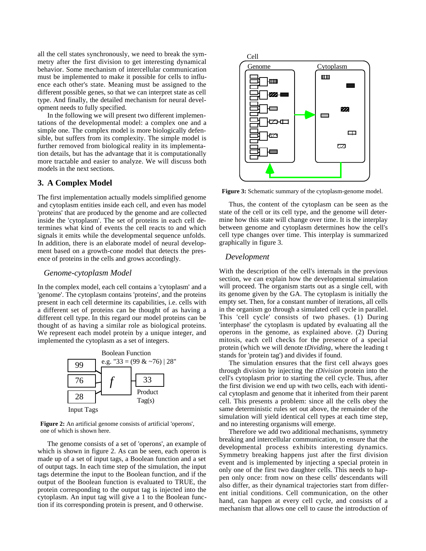all the cell states synchronously, we need to break the symmetry after the first division to get interesting dynamical behavior. Some mechanism of intercellular communication must be implemented to make it possible for cells to influence each other's state. Meaning must be assigned to the different possible genes, so that we can interpret state as cell type. And finally, the detailed mechanism for neural development needs to fully specified.

In the following we will present two different implementations of the developmental model: a complex one and a simple one. The complex model is more biologically defensible, but suffers from its complexity. The simple model is further removed from biological reality in its implementation details, but has the advantage that it is computationally more tractable and easier to analyze. We will discuss both models in the next sections.

# **3. A Complex Model**

The first implementation actually models simplified genome and cytoplasm entities inside each cell, and even has model 'proteins' that are produced by the genome and are collected inside the 'cytoplasm'. The set of proteins in each cell determines what kind of events the cell reacts to and which signals it emits while the developmental sequence unfolds. In addition, there is an elaborate model of neural development based on a growth-cone model that detects the presence of proteins in the cells and grows accordingly.

## *Genome-cytoplasm Model*

In the complex model, each cell contains a 'cytoplasm' and a 'genome'. The cytoplasm contains 'proteins', and the proteins present in each cell determine its capabilities, i.e. cells with a different set of proteins can be thought of as having a different cell type. In this regard our model proteins can be thought of as having a similar role as biological proteins. We represent each model protein by a unique integer, and implemented the cytoplasm as a set of integers.



**Figure 2:** An artificial genome consists of artificial 'operons', one of which is shown here.

The genome consists of a set of 'operons', an example of which is shown in figure 2. As can be seen, each operon is made up of a set of input tags, a Boolean function and a set of output tags. In each time step of the simulation, the input tags determine the input to the Boolean function, and if the output of the Boolean function is evaluated to TRUE, the protein corresponding to the output tag is injected into the cytoplasm. An input tag will give a 1 to the Boolean function if its corresponding protein is present, and 0 otherwise.



**Figure 3:** Schematic summary of the cytoplasm-genome model.

Thus, the content of the cytoplasm can be seen as the state of the cell or its cell type, and the genome will determine how this state will change over time. It is the interplay between genome and cytoplasm determines how the cell's cell type changes over time. This interplay is summarized graphically in figure 3.

# *Development*

With the description of the cell's internals in the previous section, we can explain how the developmental simulation will proceed. The organism starts out as a single cell, with its genome given by the GA. The cytoplasm is initially the empty set. Then, for a constant number of iterations, all cells in the organism go through a simulated cell cycle in parallel. This 'cell cycle' consists of two phases. (1) During 'interphase' the cytoplasm is updated by evaluating all the operons in the genome, as explained above. (2) During mitosis, each cell checks for the presence of a special protein (which we will denote *tDividing*, where the leading t stands for 'protein tag') and divides if found.

The simulation ensures that the first cell always goes through division by injecting the *tDivision* protein into the cell's cytoplasm prior to starting the cell cycle. Thus, after the first division we end up with two cells, each with identical cytoplasm and genome that it inherited from their parent cell. This presents a problem: since all the cells obey the same deterministic rules set out above, the remainder of the simulation will yield identical cell types at each time step, and no interesting organisms will emerge.

Therefore we add two additional mechanisms, symmetry breaking and intercellular communication, to ensure that the developmental process exhibits interesting dynamics. Symmetry breaking happens just after the first division event and is implemented by injecting a special protein in only one of the first two daughter cells. This needs to happen only once: from now on these cells' descendants will also differ, as their dynamical trajectories start from different initial conditions. Cell communication, on the other hand, can happen at every cell cycle, and consists of a mechanism that allows one cell to cause the introduction of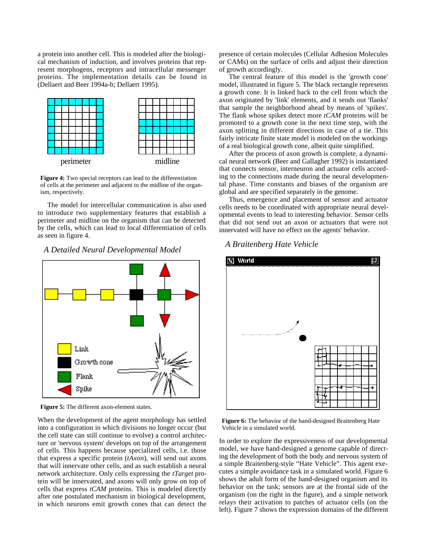a protein into another cell. This is modeled after the biological mechanism of induction, and involves proteins that represent morphogens, receptors and intracellular messenger proteins. The implementation details can be found in (Dellaert and Beer 1994a-b; Dellaert 1995).



**Figure 4:** Two special receptors can lead to the differentiation of cells at the perimeter and adjacent to the midline of the organism, respectively.

The model for intercellular communication is also used to introduce two supplementary features that establish a perimeter and midline on the organism that can be detected by the cells, which can lead to local differentiation of cells as seen in figure 4.

#### *A Detailed Neural Developmental Model*



**Figure 5:** The different axon-element states.

When the development of the agent morphology has settled into a configuration in which divisions no longer occur (but the cell state can still continue to evolve) a control architecture or 'nervous system' develops on top of the arrangement of cells. This happens because specialized cells, i.e. those that express a specific protein (*tAxon*), will send out axons that will innervate other cells, and as such establish a neural network architecture. Only cells expressing the *tTarget* protein will be innervated, and axons will only grow on top of cells that express *tCAM* proteins. This is modeled directly after one postulated mechanism in biological development, in which neurons emit growth cones that can detect the presence of certain molecules (Cellular Adhesion Molecules or CAMs) on the surface of cells and adjust their direction of growth accordingly.

The central feature of this model is the 'growth cone' model, illustrated in figure 5. The black rectangle represents a growth cone. It is linked back to the cell from which the axon originated by 'link' elements, and it sends out 'flanks' that sample the neighborhood ahead by means of 'spikes'. The flank whose spikes detect more *tCAM* proteins will be promoted to a growth cone in the next time step, with the axon splitting in different directions in case of a tie. This fairly intricate finite state model is modeled on the workings of a real biological growth cone, albeit quite simplified.

After the process of axon growth is complete, a dynamical neural network (Beer and Gallagher 1992) is instantiated that connects sensor, interneuron and actuator cells according to the connections made during the neural developmental phase. Time constants and biases of the organism are global and are specified separately in the genome.

Thus, emergence and placement of sensor and actuator cells needs to be coordinated with appropriate neural developmental events to lead to interesting behavior. Sensor cells that did not send out an axon or actuators that were not innervated will have no effect on the agents' behavior.

# *A Braitenberg Hate Vehicle*



**Figure 6:** The behavior of the hand-designed Braitenberg Hate Vehicle in a simulated world.

In order to explore the expressiveness of our developmental model, we have hand-designed a genome capable of directing the development of both the body and nervous system of a simple Braitenberg-style "Hate Vehicle". This agent executes a simple avoidance task in a simulated world. Figure 6 shows the adult form of the hand-designed organism and its behavior on the task; sensors are at the frontal side of the organism (on the right in the figure), and a simple network relays their activation to patches of actuator cells (on the left). Figure 7 shows the expression domains of the different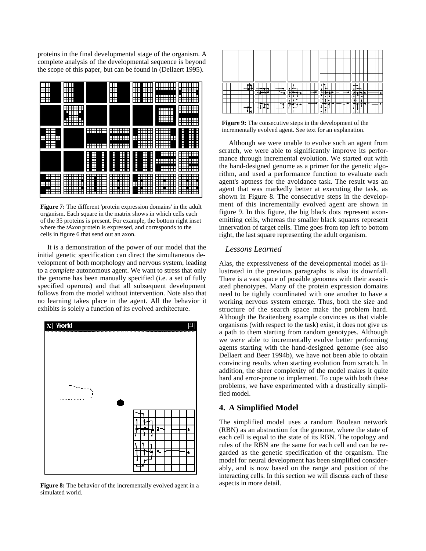proteins in the final developmental stage of the organism. A complete analysis of the developmental sequence is beyond the scope of this paper, but can be found in (Dellaert 1995).

| ┅<br>┉<br>ᇚ<br>ᇚᇚ<br>┯<br>┉<br>┉<br>┉                  | ╥╥<br>┯<br>ᅲ<br>╥╥<br>ᅟᅲ<br>╥╥<br>╥╥<br>┉                                |                                                                                                        | ᠇<br>᠊᠇᠇<br>╥<br>᠇᠇<br>ᇚ                                                                             | ㅠ<br>.<br>┉<br>┯<br>┅<br>╥<br>┉<br>╥<br>┉<br>᠇᠇<br>᠇᠇<br>┉<br>╖<br>TTTTTTTTTTTTTTTTT <sup>1</sup><br>┉<br>┯ | <del></del><br><del></del><br><del>mmm</del><br><del>………</del><br><b>TITITITITI</b><br><del>mmm</del> | <br><del>mmm</del><br><del></del><br>. <del>.</del><br><del></del><br><del></del><br><del>mmm</del> |
|--------------------------------------------------------|--------------------------------------------------------------------------|--------------------------------------------------------------------------------------------------------|------------------------------------------------------------------------------------------------------|-------------------------------------------------------------------------------------------------------------|-------------------------------------------------------------------------------------------------------|-----------------------------------------------------------------------------------------------------|
|                                                        | गणगा।<br>┯┯┯┯┯┯<br>┉<br>┉<br>┉<br>.<br>----------<br><del></del>         |                                                                                                        |                                                                                                      |                                                                                                             | .<br>┉<br>┉<br><br>┉<br>┉                                                                             | <del>mmm</del><br><del>mmm</del><br><del></del><br><del></del>                                      |
| .<br>┉<br>ᇚᇚ<br><del>,,,,,,,,,</del><br>╥╥<br>⊞⊞       |                                                                          | <del>mmm</del><br><b></b><br><b>H1111111</b>                                                           | <b>11111111111111</b><br><b>*********</b><br>11111111<br><del>mmm</del><br><del>mmm</del>            | <br><del></del><br><del>mmm</del><br><del></del><br><b>TTTTTTT</b><br>┉<br><del>,,,,,,,</del>               | <br><del></del><br>┉<br><b>111111111</b><br>┉<br>┉<br>╥╥╥╖<br><del>mmm</del>                          | --------<br>Ŧ<br>--------<br>₩₩₩                                                                    |
|                                                        |                                                                          | ⋕<br>п<br>П<br>H<br>□<br>п<br>⊞⊞<br>E<br>п<br>□<br>п<br>E<br>H                                         | <b>####</b>                                                                                          | П<br>⋕<br>п<br>п<br>Ë<br>⊞<br>п                                                                             | ⊞⊞⊞<br>---------<br><del></del><br>₩₩                                                                 | <del>mmm</del><br>.<br><del>,,,,,,,,,</del><br>┉<br>┉<br><del></del>                                |
| 111 M M<br><del>mmm</del><br>┅<br><del></del><br>.<br> | <del></del><br>╥╥╥╥<br><del></del><br><del>mmm</del><br>┉<br><del></del> | <b>0000000</b><br>−<br><del>mm</del><br>┉<br>п<br>−<br>┅<br>ᇚ<br>┉<br>┉<br>╓┰┰<br>╥<br><del>mmmn</del> | mmm<br><del>mmm</del><br>┅┅<br><del></del><br><del>………</del><br>┯<br>┅<br><del>.</del><br><b>mmm</b> | <del>mmm</del><br><del></del><br><del>………</del><br>п<br>ᇚᇚ<br>┉<br><del>mmm</del>                           | <del>mmm</del><br><del>mmm</del><br>┉<br><b></b><br>╓<br>┉<br><del></del><br>----------               | mmm<br><del></del><br>ᇚ<br><del></del><br>┯<br>┯<br>┉<br><del>mmm</del>                             |

**Figure 7:** The different 'protein expression domains' in the adult organism. Each square in the matrix shows in which cells each of the 35 proteins is present. For example, the bottom right inset where the *tAxon* protein is expressed, and corresponds to the cells in figure 6 that send out an axon.

It is a demonstration of the power of our model that the initial genetic specification can direct the simultaneous development of both morphology and nervous system, leading to a *complete* autonomous agent. We want to stress that only the genome has been manually specified (i.e. a set of fully specified operons) and that all subsequent development follows from the model without intervention. Note also that no learning takes place in the agent. All the behavior it exhibits is solely a function of its evolved architecture.



**Figure 8:** The behavior of the incrementally evolved agent in a simulated world.

| ∓<br>T.<br>щ, | ь<br>T<br>r. 1<br>ī۴<br>≖ | ٠<br>٠<br>٠<br>事<br>ਜਜ<br>≂<br>-<br>г<br>►<br>٠ | - 17<br>۱e<br>-<br>α.<br>ь<br>≖<br>$-$<br>┱┱<br>┏<br>+⊦<br><b>644</b> | ┅<br>--<br>Шe.<br>u.<br>٠ |
|---------------|---------------------------|-------------------------------------------------|-----------------------------------------------------------------------|---------------------------|

**Figure 9:** The consecutive steps in the development of the incrementally evolved agent. See text for an explanation.

Although we were unable to evolve such an agent from scratch, we were able to significantly improve its performance through incremental evolution. We started out with the hand-designed genome as a primer for the genetic algorithm, and used a performance function to evaluate each agent's aptness for the avoidance task. The result was an agent that was markedly better at executing the task, as shown in Figure 8. The consecutive steps in the development of this incrementally evolved agent are shown in figure 9. In this figure, the big black dots represent axonemitting cells, whereas the smaller black squares represent innervation of target cells. Time goes from top left to bottom right, the last square representing the adult organism.

# *Lessons Learned*

Alas, the expressiveness of the developmental model as illustrated in the previous paragraphs is also its downfall. There is a vast space of possible genomes with their associated phenotypes. Many of the protein expression domains need to be tightly coordinated with one another to have a working nervous system emerge. Thus, both the size and structure of the search space make the problem hard. Although the Braitenberg example convinces us that viable organisms (with respect to the task) exist, it does not give us a path to them starting from random genotypes. Although we *were* able to incrementally evolve better performing agents starting with the hand-designed genome (see also Dellaert and Beer 1994b), we have not been able to obtain convincing results when starting evolution from scratch. In addition, the sheer complexity of the model makes it quite hard and error-prone to implement. To cope with both these problems, we have experimented with a drastically simplified model.

# **4. A Simplified Model**

The simplified model uses a random Boolean network (RBN) as an abstraction for the genome, where the state of each cell is equal to the state of its RBN. The topology and rules of the RBN are the same for each cell and can be regarded as the genetic specification of the organism. The model for neural development has been simplified considerably, and is now based on the range and position of the interacting cells. In this section we will discuss each of these aspects in more detail.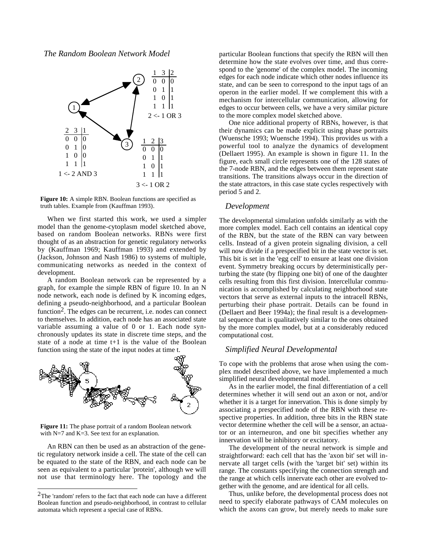*The Random Boolean Network Model*



**Figure 10:** A simple RBN. Boolean functions are specified as truth tables. Example from (Kauffman 1993).

When we first started this work, we used a simpler model than the genome-cytoplasm model sketched above, based on random Boolean networks. RBNs were first thought of as an abstraction for genetic regulatory networks by (Kauffman 1969; Kauffman 1993) and extended by (Jackson, Johnson and Nash 1986) to systems of multiple, communicating networks as needed in the context of development.

A random Boolean network can be represented by a graph, for example the simple RBN of figure 10. In an N node network, each node is defined by K incoming edges, defining a pseudo-neighborhood, and a particular Boolean function<sup>2</sup>. The edges can be recurrent, i.e. nodes can connect to themselves. In addition, each node has an associated state variable assuming a value of 0 or 1. Each node synchronously updates its state in discrete time steps, and the state of a node at time t+1 is the value of the Boolean function using the state of the input nodes at time t.



**Figure 11:** The phase portrait of a random Boolean network with N=7 and K=3. See text for an explanation.

An RBN can then be used as an abstraction of the genetic regulatory network inside a cell. The state of the cell can be equated to the state of the RBN, and each node can be seen as equivalent to a particular 'protein', although we will not use that terminology here. The topology and the particular Boolean functions that specify the RBN will then determine how the state evolves over time, and thus correspond to the 'genome' of the complex model. The incoming edges for each node indicate which other nodes influence its state, and can be seen to correspond to the input tags of an operon in the earlier model. If we complement this with a mechanism for intercellular communication, allowing for edges to occur between cells, we have a very similar picture to the more complex model sketched above.

One nice additional property of RBNs, however, is that their dynamics can be made explicit using phase portraits (Wuensche 1993; Wuensche 1994). This provides us with a powerful tool to analyze the dynamics of development (Dellaert 1995). An example is shown in figure 11. In the figure, each small circle represents one of the 128 states of the 7-node RBN, and the edges between them represent state transitions. The transitions always occur in the direction of the state attractors, in this case state cycles respectively with period 5 and 2.

# *Development*

The developmental simulation unfolds similarly as with the more complex model. Each cell contains an identical copy of the RBN, but the state of the RBN can vary between cells. Instead of a given protein signaling division, a cell will now divide if a prespecified bit in the state vector is set. This bit is set in the 'egg cell' to ensure at least one division event. Symmetry breaking occurs by deterministically perturbing the state (by flipping one bit) of one of the daughter cells resulting from this first division. Intercellular communication is accomplished by calculating neighborhood state vectors that serve as external inputs to the intracell RBNs, perturbing their phase portrait. Details can be found in (Dellaert and Beer 1994a); the final result is a developmental sequence that is qualitatively similar to the ones obtained by the more complex model, but at a considerably reduced computational cost.

## *Simplified Neural Developmental*

To cope with the problems that arose when using the complex model described above, we have implemented a much simplified neural developmental model.

As in the earlier model, the final differentiation of a cell determines whether it will send out an axon or not, and/or whether it is a target for innervation. This is done simply by associating a prespecified node of the RBN with these respective properties. In addition, three bits in the RBN state vector determine whether the cell will be a sensor, an actuator or an interneuron, and one bit specifies whether any innervation will be inhibitory or excitatory.

The development of the neural network is simple and straightforward: each cell that has the 'axon bit' set will innervate all target cells (with the 'target bit' set) within its range. The constants specifying the connection strength and the range at which cells innervate each other are evolved together with the genome, and are identical for all cells.

Thus, unlike before, the developmental process does not need to specify elaborate pathways of CAM molecules on which the axons can grow, but merely needs to make sure

<sup>&</sup>lt;sup>2</sup>The 'random' refers to the fact that each node can have a different Boolean function and pseudo-neighborhood, in contrast to cellular automata which represent a special case of RBNs.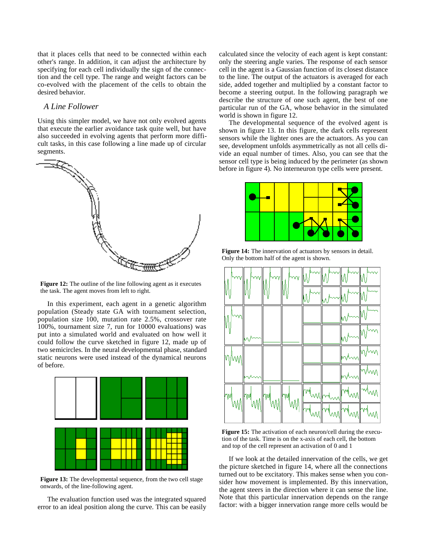that it places cells that need to be connected within each other's range. In addition, it can adjust the architecture by specifying for each cell individually the sign of the connection and the cell type. The range and weight factors can be co-evolved with the placement of the cells to obtain the desired behavior.

#### *A Line Follower*

Using this simpler model, we have not only evolved agents that execute the earlier avoidance task quite well, but have also succeeded in evolving agents that perform more difficult tasks, in this case following a line made up of circular segments.



**Figure 12:** The outline of the line following agent as it executes the task. The agent moves from left to right.

In this experiment, each agent in a genetic algorithm population (Steady state GA with tournament selection, population size 100, mutation rate 2.5%, crossover rate 100%, tournament size 7, run for 10000 evaluations) was put into a simulated world and evaluated on how well it could follow the curve sketched in figure 12, made up of two semicircles. In the neural developmental phase, standard static neurons were used instead of the dynamical neurons of before.



**Figure 13:** The developmental sequence, from the two cell stage onwards, of the line-following agent.

The evaluation function used was the integrated squared error to an ideal position along the curve. This can be easily calculated since the velocity of each agent is kept constant: only the steering angle varies. The response of each sensor cell in the agent is a Gaussian function of its closest distance to the line. The output of the actuators is averaged for each side, added together and multiplied by a constant factor to become a steering output. In the following paragraph we describe the structure of one such agent, the best of one particular run of the GA, whose behavior in the simulated world is shown in figure 12.

The developmental sequence of the evolved agent is shown in figure 13. In this figure, the dark cells represent sensors while the lighter ones are the actuators. As you can see, development unfolds asymmetrically as not all cells divide an equal number of times. Also, you can see that the sensor cell type is being induced by the perimeter (as shown before in figure 4). No interneuron type cells were present.



**Figure 14:** The innervation of actuators by sensors in detail. Only the bottom half of the agent is shown.



**Figure 15:** The activation of each neuron/cell during the execution of the task. Time is on the x-axis of each cell, the bottom and top of the cell represent an activation of 0 and 1

If we look at the detailed innervation of the cells, we get the picture sketched in figure 14, where all the connections turned out to be excitatory. This makes sense when you consider how movement is implemented. By this innervation, the agent steers in the direction where it can sense the line. Note that this particular innervation depends on the range factor: with a bigger innervation range more cells would be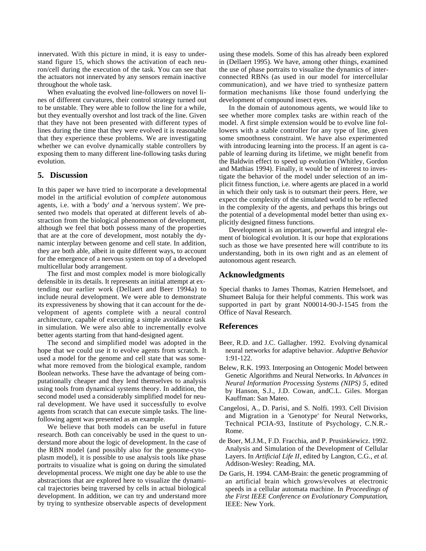innervated. With this picture in mind, it is easy to understand figure 15, which shows the activation of each neuron/cell during the execution of the task. You can see that the actuators not innervated by any sensors remain inactive throughout the whole task.

When evaluating the evolved line-followers on novel lines of different curvatures, their control strategy turned out to be unstable. They were able to follow the line for a while, but they eventually overshot and lost track of the line. Given that they have not been presented with different types of lines during the time that they were evolved it is reasonable that they experience these problems. We are investigating whether we can evolve dynamically stable controllers by exposing them to many different line-following tasks during evolution.

#### **5. Discussion**

In this paper we have tried to incorporate a developmental model in the artificial evolution of *complete* autonomous agents, i.e. with a 'body' *and* a 'nervous system'. We presented two models that operated at different levels of abstraction from the biological phenomenon of development, although we feel that both possess many of the properties that are at the core of development, most notably the dynamic interplay between genome and cell state. In addition, they are both able, albeit in quite different ways, to account for the emergence of a nervous system on top of a developed multicellular body arrangement.

The first and most complex model is more biologically defensible in its details. It represents an initial attempt at extending our earlier work (Dellaert and Beer 1994a) to include neural development. We were able to demonstrate its expressiveness by showing that it can account for the development of agents complete with a neural control architecture, capable of executing a simple avoidance task in simulation. We were also able to incrementally evolve better agents starting from that hand-designed agent.

The second and simplified model was adopted in the hope that we could use it to evolve agents from scratch. It used a model for the genome and cell state that was somewhat more removed from the biological example, random Boolean networks. These have the advantage of being computationally cheaper and they lend themselves to analysis using tools from dynamical systems theory. In addition, the second model used a considerably simplified model for neural development. We have used it successfully to evolve agents from scratch that can execute simple tasks. The linefollowing agent was presented as an example.

We believe that both models can be useful in future research. Both can conceivably be used in the quest to understand more about the logic of development. In the case of the RBN model (and possibly also for the genome-cytoplasm model), it is possible to use analysis tools like phase portraits to visualize what is going on during the simulated developmental process. We might one day be able to use the abstractions that are explored here to visualize the dynamical trajectories being traversed by cells in actual biological development. In addition, we can try and understand more by trying to synthesize observable aspects of development using these models. Some of this has already been explored in (Dellaert 1995). We have, among other things, examined the use of phase portraits to visualize the dynamics of interconnected RBNs (as used in our model for intercellular communication), and we have tried to synthesize pattern formation mechanisms like those found underlying the development of compound insect eyes.

In the domain of autonomous agents, we would like to see whether more complex tasks are within reach of the model. A first simple extension would be to evolve line followers with a stable controller for any type of line, given some smoothness constraint. We have also experimented with introducing learning into the process. If an agent is capable of learning during its lifetime, we might benefit from the Baldwin effect to speed up evolution (Whitley, Gordon and Mathias 1994). Finally, it would be of interest to investigate the behavior of the model under selection of an implicit fitness function, i.e. where agents are placed in a world in which their only task is to outsmart their peers. Here, we expect the complexity of the simulated world to be reflected in the complexity of the agents, and perhaps this brings out the potential of a developmental model better than using explicitly designed fitness functions.

Development is an important, powerful and integral element of biological evolution. It is our hope that explorations such as those we have presented here will contribute to its understanding, both in its own right and as an element of autonomous agent research.

## **Acknowledgments**

Special thanks to James Thomas, Katrien Hemelsoet, and Shumeet Baluja for their helpful comments. This work was supported in part by grant N00014-90-J-1545 from the Office of Naval Research.

### **References**

- Beer, R.D. and J.C. Gallagher. 1992. Evolving dynamical neural networks for adaptive behavior. *Adaptive Behavior* 1:91-122.
- Belew, R.K. 1993. Interposing an Ontogenic Model between Genetic Algorithms and Neural Networks. In *Advances in Neural Information Processing Systems (NIPS) 5*, edited by Hanson, S.J., J.D. Cowan, andC.L. Giles. Morgan Kauffman: San Mateo.
- Cangelosi, A., D. Parisi, and S. Nolfi. 1993. Cell Division and Migration in a 'Genotype' for Neural Networks, Technical PCIA-93, Institute of Psychology, C.N.R.- Rome.
- de Boer, M.J.M., F.D. Fracchia, and P. Prusinkiewicz. 1992. Analysis and Simulation of the Development of Cellular Layers. In *Artificial Life II*, edited by Langton, C.G., *et al*. Addison-Wesley: Reading, MA.
- De Garis, H. 1994. CAM-Brain: the genetic programming of an artificial brain which grows/evolves at electronic speeds in a cellular automata machine. In *Proceedings of the First IEEE Conference on Evolutionary Computation*, IEEE: New York.